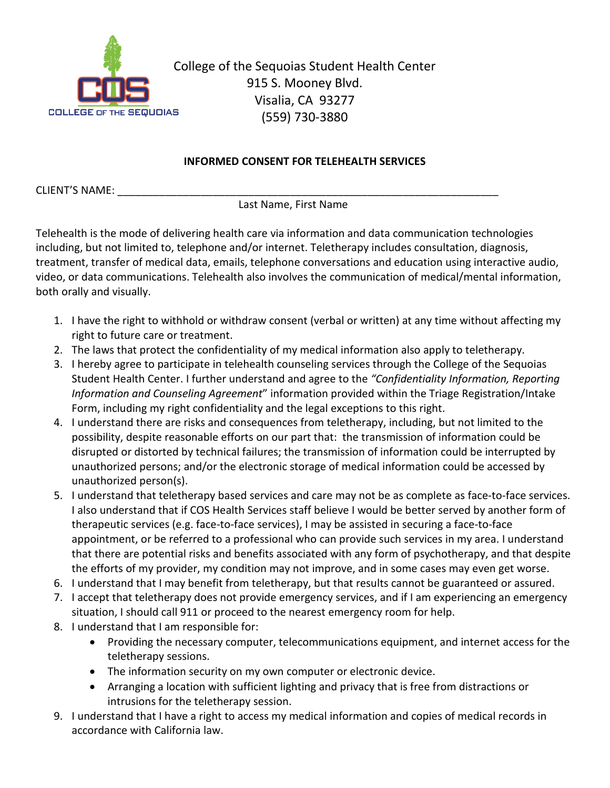

College of the Sequoias Student Health Center 915 S. Mooney Blvd. Visalia, CA 93277 (559) 730-3880

## **INFORMED CONSENT FOR TELEHEALTH SERVICES**

CLIENT'S NAME:

Last Name, First Name

Telehealth is the mode of delivering health care via information and data communication technologies including, but not limited to, telephone and/or internet. Teletherapy includes consultation, diagnosis, treatment, transfer of medical data, emails, telephone conversations and education using interactive audio, video, or data communications. Telehealth also involves the communication of medical/mental information, both orally and visually.

- 1. I have the right to withhold or withdraw consent (verbal or written) at any time without affecting my right to future care or treatment.
- 2. The laws that protect the confidentiality of my medical information also apply to teletherapy.
- 3. I hereby agree to participate in telehealth counseling services through the College of the Sequoias Student Health Center. I further understand and agree to the *"Confidentiality Information, Reporting Information and Counseling Agreement*" information provided within the Triage Registration/Intake Form, including my right confidentiality and the legal exceptions to this right.
- 4. I understand there are risks and consequences from teletherapy, including, but not limited to the possibility, despite reasonable efforts on our part that: the transmission of information could be disrupted or distorted by technical failures; the transmission of information could be interrupted by unauthorized persons; and/or the electronic storage of medical information could be accessed by unauthorized person(s).
- 5. I understand that teletherapy based services and care may not be as complete as face-to-face services. I also understand that if COS Health Services staff believe I would be better served by another form of therapeutic services (e.g. face-to-face services), I may be assisted in securing a face-to-face appointment, or be referred to a professional who can provide such services in my area. I understand that there are potential risks and benefits associated with any form of psychotherapy, and that despite the efforts of my provider, my condition may not improve, and in some cases may even get worse.
- 6. I understand that I may benefit from teletherapy, but that results cannot be guaranteed or assured.
- 7. I accept that teletherapy does not provide emergency services, and if I am experiencing an emergency situation, I should call 911 or proceed to the nearest emergency room for help.
- 8. I understand that I am responsible for:
	- Providing the necessary computer, telecommunications equipment, and internet access for the teletherapy sessions.
	- The information security on my own computer or electronic device.
	- Arranging a location with sufficient lighting and privacy that is free from distractions or intrusions for the teletherapy session.
- 9. I understand that I have a right to access my medical information and copies of medical records in accordance with California law.